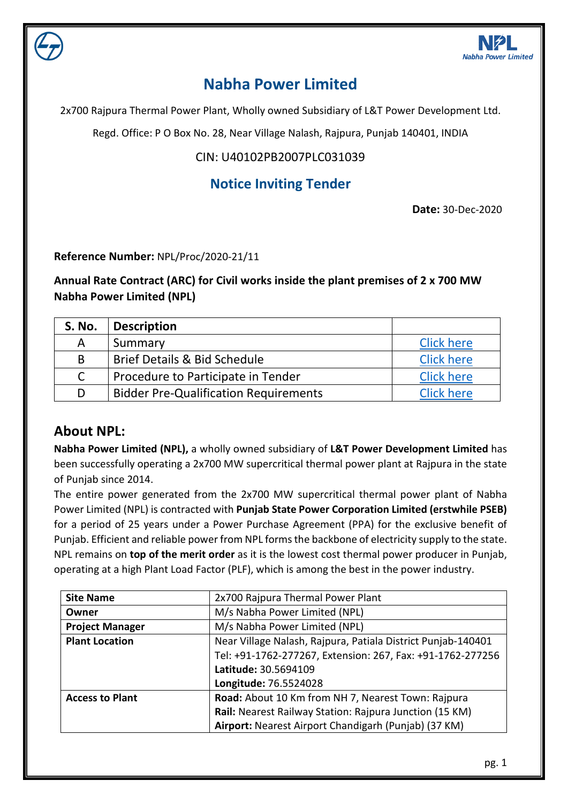

# **Nabha Power Limited**

2x700 Rajpura Thermal Power Plant, Wholly owned Subsidiary of L&T Power Development Ltd.

Regd. Office: P O Box No. 28, Near Village Nalash, Rajpura, Punjab 140401, INDIA

### CIN: U40102PB2007PLC031039

## **Notice Inviting Tender**

**Date:** 30-Dec-2020

**Reference Number:** NPL/Proc/2020-21/11

**Annual Rate Contract (ARC) for Civil works inside the plant premises of 2 x 700 MW Nabha Power Limited (NPL)**

| <b>S. No.</b> | <b>Description</b>                           |                   |
|---------------|----------------------------------------------|-------------------|
| А             | Summary                                      | <b>Click here</b> |
| B             | <b>Brief Details &amp; Bid Schedule</b>      | <b>Click here</b> |
| $\mathsf{C}$  | Procedure to Participate in Tender           | <b>Click here</b> |
| D             | <b>Bidder Pre-Qualification Requirements</b> | <b>Click here</b> |

### **About NPL:**

**Nabha Power Limited (NPL),** a wholly owned subsidiary of **L&T Power Development Limited** has been successfully operating a 2x700 MW supercritical thermal power plant at Rajpura in the state of Punjab since 2014.

The entire power generated from the 2x700 MW supercritical thermal power plant of Nabha Power Limited (NPL) is contracted with **Punjab State Power Corporation Limited (erstwhile PSEB)** for a period of 25 years under a Power Purchase Agreement (PPA) for the exclusive benefit of Punjab. Efficient and reliable power from NPL forms the backbone of electricity supply to the state. NPL remains on **top of the merit order** as it is the lowest cost thermal power producer in Punjab, operating at a high Plant Load Factor (PLF), which is among the best in the power industry.

| <b>Site Name</b>                                                                      | 2x700 Rajpura Thermal Power Plant                          |  |
|---------------------------------------------------------------------------------------|------------------------------------------------------------|--|
| Owner                                                                                 | M/s Nabha Power Limited (NPL)                              |  |
| <b>Project Manager</b>                                                                | M/s Nabha Power Limited (NPL)                              |  |
| Near Village Nalash, Rajpura, Patiala District Punjab-140401<br><b>Plant Location</b> |                                                            |  |
|                                                                                       | Tel: +91-1762-277267, Extension: 267, Fax: +91-1762-277256 |  |
|                                                                                       | Latitude: 30.5694109                                       |  |
|                                                                                       | Longitude: 76.5524028                                      |  |
| <b>Access to Plant</b>                                                                | Road: About 10 Km from NH 7, Nearest Town: Rajpura         |  |
|                                                                                       | Rail: Nearest Railway Station: Rajpura Junction (15 KM)    |  |
|                                                                                       | Airport: Nearest Airport Chandigarh (Punjab) (37 KM)       |  |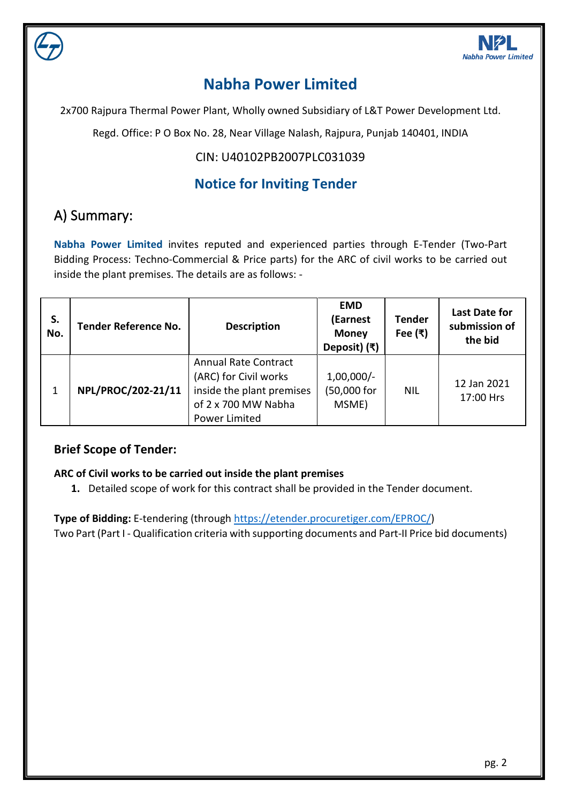

# **Nabha Power Limited**

2x700 Rajpura Thermal Power Plant, Wholly owned Subsidiary of L&T Power Development Ltd.

Regd. Office: P O Box No. 28, Near Village Nalash, Rajpura, Punjab 140401, INDIA

### CIN: U40102PB2007PLC031039

## **Notice for Inviting Tender**

# <span id="page-1-0"></span>A) Summary:

**Nabha Power Limited** invites reputed and experienced parties through E-Tender (Two-Part Bidding Process: Techno-Commercial & Price parts) for the ARC of civil works to be carried out inside the plant premises. The details are as follows: -

| S.<br>No. | <b>Tender Reference No.</b> | <b>Description</b>                                                                                                        | <b>EMD</b><br>(Earnest<br><b>Money</b><br>Deposit) (₹) | <b>Tender</b><br>Fee $(3)$ | <b>Last Date for</b><br>submission of<br>the bid |
|-----------|-----------------------------|---------------------------------------------------------------------------------------------------------------------------|--------------------------------------------------------|----------------------------|--------------------------------------------------|
| 1         | NPL/PROC/202-21/11          | <b>Annual Rate Contract</b><br>(ARC) for Civil works<br>inside the plant premises<br>of 2 x 700 MW Nabha<br>Power Limited | $1,00,000/-$<br>(50,000 for<br>MSME)                   | <b>NIL</b>                 | 12 Jan 2021<br>17:00 Hrs                         |

### **Brief Scope of Tender:**

#### **ARC of Civil works to be carried out inside the plant premises**

**1.** Detailed scope of work for this contract shall be provided in the Tender document.

**Type of Bidding:** E-tendering (through<https://etender.procuretiger.com/>EPROC/) Two Part (Part I - Qualification criteria with supporting documents and Part-II Price bid documents)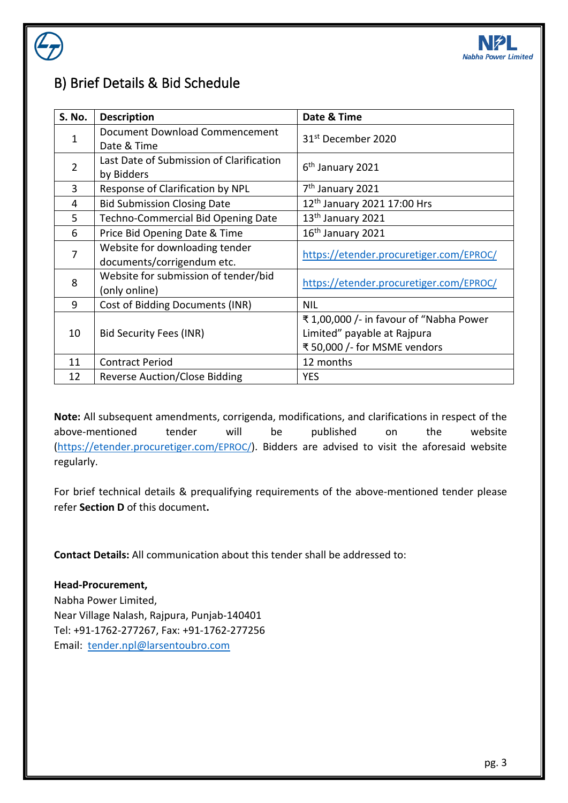

# B) Brief Details & Bid Schedule

| S. No. | <b>Description</b>                                           | Date & Time                                                                                           |
|--------|--------------------------------------------------------------|-------------------------------------------------------------------------------------------------------|
| 1      | Document Download Commencement<br>Date & Time                | 31 <sup>st</sup> December 2020                                                                        |
| 2      | Last Date of Submission of Clarification<br>by Bidders       | 6 <sup>th</sup> January 2021                                                                          |
| 3      | Response of Clarification by NPL                             | 7 <sup>th</sup> January 2021                                                                          |
| 4      | <b>Bid Submission Closing Date</b>                           | 12 <sup>th</sup> January 2021 17:00 Hrs                                                               |
| 5      | <b>Techno-Commercial Bid Opening Date</b>                    | 13 <sup>th</sup> January 2021                                                                         |
| 6      | Price Bid Opening Date & Time                                | 16 <sup>th</sup> January 2021                                                                         |
| 7      | Website for downloading tender<br>documents/corrigendum etc. | https://etender.procuretiger.com/EPROC/                                                               |
| 8      | Website for submission of tender/bid<br>(only online)        | https://etender.procuretiger.com/EPROC/                                                               |
| 9      | Cost of Bidding Documents (INR)                              | <b>NIL</b>                                                                                            |
| 10     | Bid Security Fees (INR)                                      | ₹1,00,000 /- in favour of "Nabha Power<br>Limited" payable at Rajpura<br>₹ 50,000 /- for MSME vendors |
| 11     | <b>Contract Period</b>                                       | 12 months                                                                                             |
| 12     | Reverse Auction/Close Bidding                                | <b>YES</b>                                                                                            |

**Note:** All subsequent amendments, corrigenda, modifications, and clarifications in respect of the above-mentioned tender will be published on the website [\(https://etender.procuretiger.com/](https://etender.procuretiger.com/)EPROC/). Bidders are advised to visit the aforesaid website regularly.

For brief technical details & prequalifying requirements of the above-mentioned tender please refer **Section D** of this document**.**

**Contact Details:** All communication about this tender shall be addressed to:

#### **Head-Procurement,**

Nabha Power Limited, Near Village Nalash, Rajpura, Punjab-140401 Tel: +91-1762-277267, Fax: +91-1762-277256 Email: [tender.npl@larsentoubro.com](mailto:tender.npl@larsentoubro.com)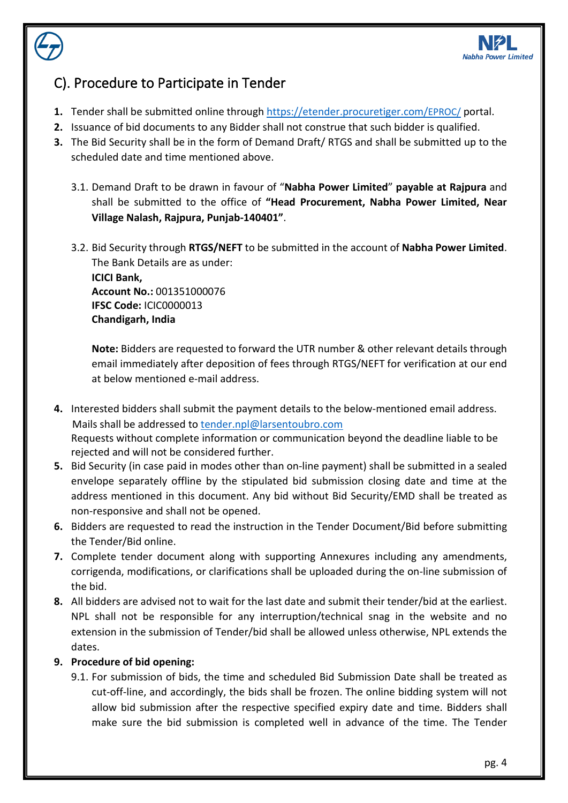

## <span id="page-3-0"></span>C). Procedure to Participate in Tender

- **1.** Tender shall be submitted online through [https://etender.procuretiger.com/E](https://etender.procuretiger.com/)PROC/ portal.
- **2.** Issuance of bid documents to any Bidder shall not construe that such bidder is qualified.
- **3.** The Bid Security shall be in the form of Demand Draft/ RTGS and shall be submitted up to the scheduled date and time mentioned above.
	- 3.1. Demand Draft to be drawn in favour of "**Nabha Power Limited**" **payable at Rajpura** and shall be submitted to the office of **"Head Procurement, Nabha Power Limited, Near Village Nalash, Rajpura, Punjab-140401"**.
	- 3.2. Bid Security through **RTGS/NEFT** to be submitted in the account of **Nabha Power Limited**. The Bank Details are as under:

**ICICI Bank, Account No.:** 001351000076 **IFSC Code:** ICIC0000013 **Chandigarh, India**

**Note:** Bidders are requested to forward the UTR number & other relevant details through email immediately after deposition of fees through RTGS/NEFT for verification at our end at below mentioned e-mail address.

- **4.** Interested bidders shall submit the payment details to the below-mentioned email address. Mails shall be addressed to [tender.npl@larsentoubro.com](mailto:tender.npl@larsentoubro.com) Requests without complete information or communication beyond the deadline liable to be rejected and will not be considered further.
- **5.** Bid Security (in case paid in modes other than on-line payment) shall be submitted in a sealed envelope separately offline by the stipulated bid submission closing date and time at the address mentioned in this document. Any bid without Bid Security/EMD shall be treated as non-responsive and shall not be opened.
- **6.** Bidders are requested to read the instruction in the Tender Document/Bid before submitting the Tender/Bid online.
- **7.** Complete tender document along with supporting Annexures including any amendments, corrigenda, modifications, or clarifications shall be uploaded during the on-line submission of the bid.
- **8.** All bidders are advised not to wait for the last date and submit their tender/bid at the earliest. NPL shall not be responsible for any interruption/technical snag in the website and no extension in the submission of Tender/bid shall be allowed unless otherwise, NPL extends the dates.

#### **9. Procedure of bid opening:**

9.1. For submission of bids, the time and scheduled Bid Submission Date shall be treated as cut-off-line, and accordingly, the bids shall be frozen. The online bidding system will not allow bid submission after the respective specified expiry date and time. Bidders shall make sure the bid submission is completed well in advance of the time. The Tender